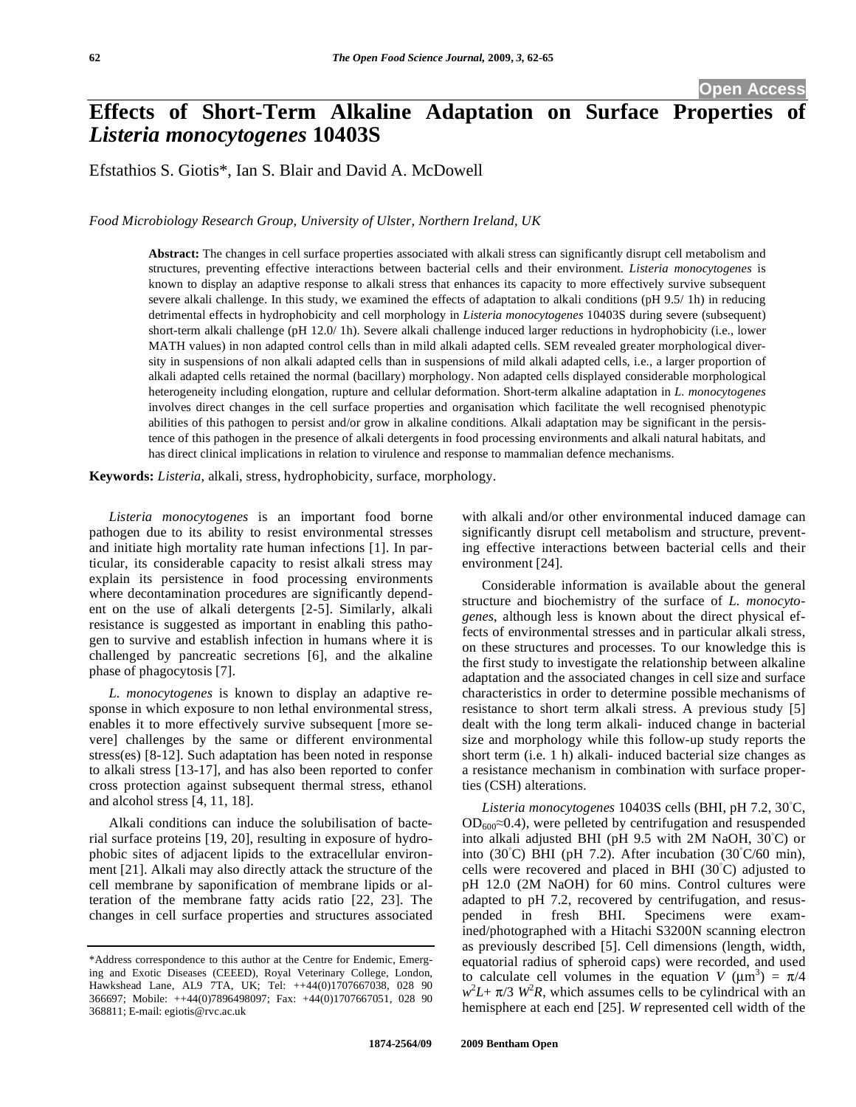# **Effects of Short-Term Alkaline Adaptation on Surface Properties of**  *Listeria monocytogenes* **10403S**

Efstathios S. Giotis\*, Ian S. Blair and David A. McDowell

*Food Microbiology Research Group, University of Ulster, Northern Ireland, UK* 

**Abstract:** The changes in cell surface properties associated with alkali stress can significantly disrupt cell metabolism and structures, preventing effective interactions between bacterial cells and their environment. *Listeria monocytogenes* is known to display an adaptive response to alkali stress that enhances its capacity to more effectively survive subsequent severe alkali challenge. In this study, we examined the effects of adaptation to alkali conditions (pH 9.5/ 1h) in reducing detrimental effects in hydrophobicity and cell morphology in *Listeria monocytogenes* 10403S during severe (subsequent) short-term alkali challenge (pH 12.0/ 1h). Severe alkali challenge induced larger reductions in hydrophobicity (i.e., lower MATH values) in non adapted control cells than in mild alkali adapted cells. SEM revealed greater morphological diversity in suspensions of non alkali adapted cells than in suspensions of mild alkali adapted cells, i.e., a larger proportion of alkali adapted cells retained the normal (bacillary) morphology. Non adapted cells displayed considerable morphological heterogeneity including elongation, rupture and cellular deformation. Short-term alkaline adaptation in *L. monocytogenes* involves direct changes in the cell surface properties and organisation which facilitate the well recognised phenotypic abilities of this pathogen to persist and/or grow in alkaline conditions. Alkali adaptation may be significant in the persistence of this pathogen in the presence of alkali detergents in food processing environments and alkali natural habitats, and has direct clinical implications in relation to virulence and response to mammalian defence mechanisms.

**Keywords:** *Listeria,* alkali, stress, hydrophobicity, surface, morphology.

*Listeria monocytogenes* is an important food borne pathogen due to its ability to resist environmental stresses and initiate high mortality rate human infections [1]. In particular, its considerable capacity to resist alkali stress may explain its persistence in food processing environments where decontamination procedures are significantly dependent on the use of alkali detergents [2-5]. Similarly, alkali resistance is suggested as important in enabling this pathogen to survive and establish infection in humans where it is challenged by pancreatic secretions [6], and the alkaline phase of phagocytosis [7].

*L. monocytogenes* is known to display an adaptive response in which exposure to non lethal environmental stress, enables it to more effectively survive subsequent [more severe] challenges by the same or different environmental stress(es) [8-12]. Such adaptation has been noted in response to alkali stress [13-17], and has also been reported to confer cross protection against subsequent thermal stress, ethanol and alcohol stress [4, 11, 18].

Alkali conditions can induce the solubilisation of bacterial surface proteins [19, 20], resulting in exposure of hydrophobic sites of adjacent lipids to the extracellular environment [21]. Alkali may also directly attack the structure of the cell membrane by saponification of membrane lipids or alteration of the membrane fatty acids ratio [22, 23]. The changes in cell surface properties and structures associated with alkali and/or other environmental induced damage can significantly disrupt cell metabolism and structure, preventing effective interactions between bacterial cells and their environment [24].

Considerable information is available about the general structure and biochemistry of the surface of *L. monocytogenes*, although less is known about the direct physical effects of environmental stresses and in particular alkali stress, on these structures and processes. To our knowledge this is the first study to investigate the relationship between alkaline adaptation and the associated changes in cell size and surface characteristics in order to determine possible mechanisms of resistance to short term alkali stress. A previous study [5] dealt with the long term alkali- induced change in bacterial size and morphology while this follow-up study reports the short term (i.e. 1 h) alkali- induced bacterial size changes as a resistance mechanism in combination with surface properties (CSH) alterations.

Listeria monocytogenes 10403S cells (BHI, pH 7.2, 30°C,  $OD_{600} \approx 0.4$ ), were pelleted by centrifugation and resuspended into alkali adjusted BHI (pH 9.5 with 2M NaOH,  $30^{\circ}$ C) or into (30°C) BHI (pH 7.2). After incubation (30°C/60 min), cells were recovered and placed in BHI  $(30^{\circ}C)$  adjusted to pH 12.0 (2M NaOH) for 60 mins. Control cultures were adapted to pH 7.2, recovered by centrifugation, and resuspended in fresh BHI. Specimens were examined/photographed with a Hitachi S3200N scanning electron as previously described [5]. Cell dimensions (length, width, equatorial radius of spheroid caps) were recorded, and used to calculate cell volumes in the equation  $V (\mu m^3) = \pi/4$  $w^2L + \pi/3$  *W*<sup>2</sup>*R*, which assumes cells to be cylindrical with an hemisphere at each end [25]. *W* represented cell width of the

<sup>\*</sup>Address correspondence to this author at the Centre for Endemic, Emerging and Exotic Diseases (CEEED), Royal Veterinary College, London, Hawkshead Lane, AL9 7TA, UK; Tel: ++44(0)1707667038, 028 90 366697; Mobile: ++44(0)7896498097; Fax: +44(0)1707667051, 028 90 368811; E-mail: egiotis@rvc.ac.uk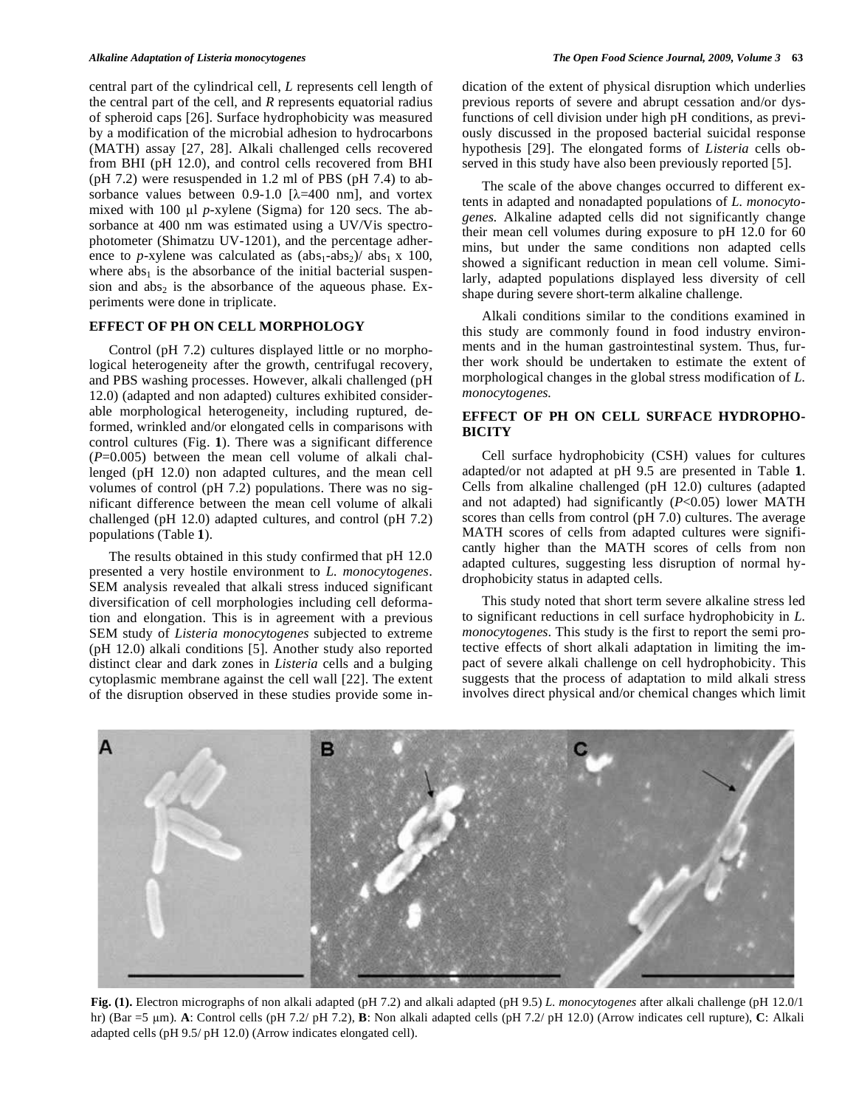central part of the cylindrical cell, *L* represents cell length of the central part of the cell, and *R* represents equatorial radius of spheroid caps [26]. Surface hydrophobicity was measured by a modification of the microbial adhesion to hydrocarbons (MATH) assay [27, 28]. Alkali challenged cells recovered from BHI (pH 12.0), and control cells recovered from BHI (pH 7.2) were resuspended in 1.2 ml of PBS (pH 7.4) to absorbance values between  $0.9-1.0$  [ $\lambda=400$  nm], and vortex mixed with 100 ul *p*-xylene (Sigma) for 120 secs. The absorbance at 400 nm was estimated using a UV/Vis spectrophotometer (Shimatzu UV-1201), and the percentage adherence to *p*-xylene was calculated as  $(abs_1-abs_2)/abs_1 \times 100$ , where  $abs<sub>1</sub>$  is the absorbance of the initial bacterial suspension and  $abs<sub>2</sub>$  is the absorbance of the aqueous phase. Experiments were done in triplicate.

## **EFFECT OF PH ON CELL MORPHOLOGY**

Control (pH 7.2) cultures displayed little or no morphological heterogeneity after the growth, centrifugal recovery, and PBS washing processes. However, alkali challenged (pH 12.0) (adapted and non adapted) cultures exhibited considerable morphological heterogeneity, including ruptured, deformed, wrinkled and/or elongated cells in comparisons with control cultures (Fig. **1**). There was a significant difference  $(P=0.005)$  between the mean cell volume of alkali challenged (pH 12.0) non adapted cultures, and the mean cell volumes of control (pH 7.2) populations. There was no significant difference between the mean cell volume of alkali challenged (pH 12.0) adapted cultures, and control (pH 7.2) populations (Table **1**).

The results obtained in this study confirmed that pH 12.0 presented a very hostile environment to *L. monocytogenes*. SEM analysis revealed that alkali stress induced significant diversification of cell morphologies including cell deformation and elongation. This is in agreement with a previous SEM study of *Listeria monocytogenes* subjected to extreme (pH 12.0) alkali conditions [5]. Another study also reported distinct clear and dark zones in *Listeria* cells and a bulging cytoplasmic membrane against the cell wall [22]. The extent of the disruption observed in these studies provide some indication of the extent of physical disruption which underlies previous reports of severe and abrupt cessation and/or dysfunctions of cell division under high pH conditions, as previously discussed in the proposed bacterial suicidal response hypothesis [29]. The elongated forms of *Listeria* cells observed in this study have also been previously reported [5].

The scale of the above changes occurred to different extents in adapted and nonadapted populations of *L. monocytogenes.* Alkaline adapted cells did not significantly change their mean cell volumes during exposure to pH 12.0 for 60 mins, but under the same conditions non adapted cells showed a significant reduction in mean cell volume. Similarly, adapted populations displayed less diversity of cell shape during severe short-term alkaline challenge.

Alkali conditions similar to the conditions examined in this study are commonly found in food industry environments and in the human gastrointestinal system. Thus, further work should be undertaken to estimate the extent of morphological changes in the global stress modification of *L. monocytogenes.*

# **EFFECT OF PH ON CELL SURFACE HYDROPHO-BICITY**

Cell surface hydrophobicity (CSH) values for cultures adapted/or not adapted at pH 9.5 are presented in Table **1**. Cells from alkaline challenged (pH 12.0) cultures (adapted and not adapted) had significantly (*P*<0.05) lower MATH scores than cells from control (pH 7.0) cultures. The average MATH scores of cells from adapted cultures were significantly higher than the MATH scores of cells from non adapted cultures, suggesting less disruption of normal hydrophobicity status in adapted cells.

This study noted that short term severe alkaline stress led to significant reductions in cell surface hydrophobicity in *L. monocytogenes*. This study is the first to report the semi protective effects of short alkali adaptation in limiting the impact of severe alkali challenge on cell hydrophobicity. This suggests that the process of adaptation to mild alkali stress involves direct physical and/or chemical changes which limit



**Fig. (1).** Electron micrographs of non alkali adapted (pH 7.2) and alkali adapted (pH 9.5) *L. monocytogenes* after alkali challenge (pH 12.0/1 hr) (Bar =5 m). **A**: Control cells (pH 7.2/ pH 7.2), **B**: Non alkali adapted cells (pH 7.2/ pH 12.0) (Arrow indicates cell rupture), **C**: Alkali adapted cells (pH 9.5/ pH 12.0) (Arrow indicates elongated cell).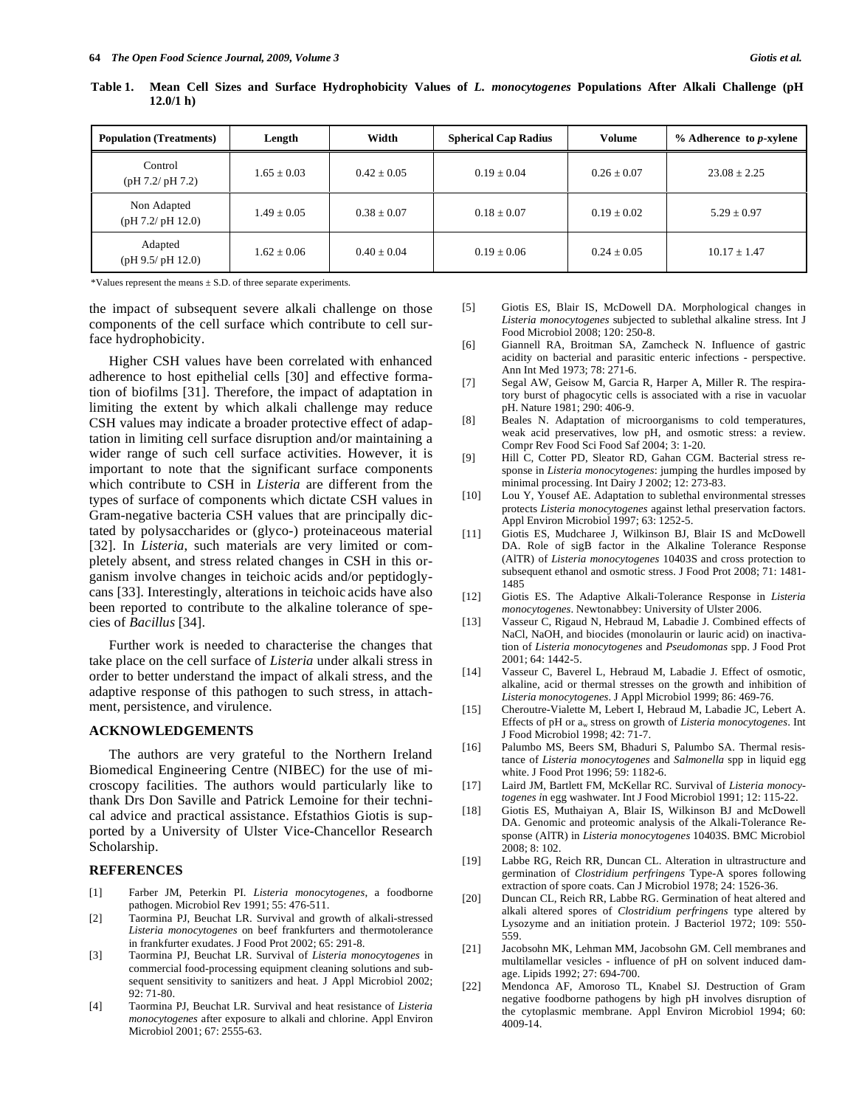| <b>Population (Treatments)</b>  | Length          | Width           | <b>Spherical Cap Radius</b> | Volume          | $%$ Adherence to p-xylene |
|---------------------------------|-----------------|-----------------|-----------------------------|-----------------|---------------------------|
| Control<br>(pH 7.2/pH 7.2)      | $1.65 \pm 0.03$ | $0.42 + 0.05$   | $0.19 \pm 0.04$             | $0.26 \pm 0.07$ | $23.08 + 2.25$            |
| Non Adapted<br>(pH 7.2/pH 12.0) | $1.49 \pm 0.05$ | $0.38 \pm 0.07$ | $0.18 \pm 0.07$             | $0.19 + 0.02$   | $5.29 + 0.97$             |
| Adapted<br>(pH 9.5/pH 12.0)     | $1.62 \pm 0.06$ | $0.40 \pm 0.04$ | $0.19 \pm 0.06$             | $0.24 \pm 0.05$ | $10.17 \pm 1.47$          |

**Table 1. Mean Cell Sizes and Surface Hydrophobicity Values of** *L. monocytogenes* **Populations After Alkali Challenge (pH 12.0/1 h)** 

\*Values represent the means ± S.D. of three separate experiments.

the impact of subsequent severe alkali challenge on those components of the cell surface which contribute to cell surface hydrophobicity.

Higher CSH values have been correlated with enhanced adherence to host epithelial cells [30] and effective formation of biofilms [31]. Therefore, the impact of adaptation in limiting the extent by which alkali challenge may reduce CSH values may indicate a broader protective effect of adaptation in limiting cell surface disruption and/or maintaining a wider range of such cell surface activities. However, it is important to note that the significant surface components which contribute to CSH in *Listeria* are different from the types of surface of components which dictate CSH values in Gram-negative bacteria CSH values that are principally dictated by polysaccharides or (glyco-) proteinaceous material [32]. In *Listeria*, such materials are very limited or completely absent, and stress related changes in CSH in this organism involve changes in teichoic acids and/or peptidoglycans [33]. Interestingly, alterations in teichoic acids have also been reported to contribute to the alkaline tolerance of species of *Bacillus* [34].

Further work is needed to characterise the changes that take place on the cell surface of *Listeria* under alkali stress in order to better understand the impact of alkali stress, and the adaptive response of this pathogen to such stress, in attachment, persistence, and virulence.

### **ACKNOWLEDGEMENTS**

The authors are very grateful to the Northern Ireland Biomedical Engineering Centre (NIBEC) for the use of microscopy facilities. The authors would particularly like to thank Drs Don Saville and Patrick Lemoine for their technical advice and practical assistance. Efstathios Giotis is supported by a University of Ulster Vice-Chancellor Research Scholarship.

#### **REFERENCES**

- [1] Farber JM, Peterkin PI. *Listeria monocytogenes*, a foodborne pathogen. Microbiol Rev 1991; 55: 476-511.
- [2] Taormina PJ, Beuchat LR. Survival and growth of alkali-stressed *Listeria monocytogenes* on beef frankfurters and thermotolerance in frankfurter exudates. J Food Prot 2002; 65: 291-8.
- [3] Taormina PJ, Beuchat LR. Survival of *Listeria monocytogenes* in commercial food-processing equipment cleaning solutions and subsequent sensitivity to sanitizers and heat. J Appl Microbiol 2002; 92: 71-80.
- [4] Taormina PJ, Beuchat LR. Survival and heat resistance of *Listeria monocytogenes* after exposure to alkali and chlorine. Appl Environ Microbiol 2001; 67: 2555-63.
- [5] Giotis ES, Blair IS, McDowell DA. Morphological changes in *Listeria monocytogenes* subjected to sublethal alkaline stress. Int J Food Microbiol 2008; 120: 250-8.
- [6] Giannell RA, Broitman SA, Zamcheck N. Influence of gastric acidity on bacterial and parasitic enteric infections - perspective. Ann Int Med 1973; 78: 271-6.
- [7] Segal AW, Geisow M, Garcia R, Harper A, Miller R. The respiratory burst of phagocytic cells is associated with a rise in vacuolar pH. Nature 1981; 290: 406-9.
- [8] Beales N. Adaptation of microorganisms to cold temperatures, weak acid preservatives, low pH, and osmotic stress: a review. Compr Rev Food Sci Food Saf 2004; 3: 1-20.
- [9] Hill C, Cotter PD, Sleator RD, Gahan CGM. Bacterial stress response in *Listeria monocytogenes*: jumping the hurdles imposed by minimal processing. Int Dairy J 2002; 12: 273-83.
- [10] Lou Y, Yousef AE. Adaptation to sublethal environmental stresses protects *Listeria monocytogenes* against lethal preservation factors. Appl Environ Microbiol 1997; 63: 1252-5.
- [11] Giotis ES, Mudcharee J, Wilkinson BJ, Blair IS and McDowell DA. Role of sigB factor in the Alkaline Tolerance Response (AlTR) of *Listeria monocytogenes* 10403S and cross protection to subsequent ethanol and osmotic stress. J Food Prot 2008; 71: 1481- 1485
- [12] Giotis ES. The Adaptive Alkali-Tolerance Response in *Listeria monocytogenes*. Newtonabbey: University of Ulster 2006.
- [13] Vasseur C, Rigaud N, Hebraud M, Labadie J. Combined effects of NaCl, NaOH, and biocides (monolaurin or lauric acid) on inactivation of *Listeria monocytogenes* and *Pseudomonas* spp. J Food Prot 2001; 64: 1442-5.
- [14] Vasseur C, Baverel L, Hebraud M, Labadie J. Effect of osmotic, alkaline, acid or thermal stresses on the growth and inhibition of *Listeria monocytogenes*. J Appl Microbiol 1999; 86: 469-76.
- [15] Cheroutre-Vialette M, Lebert I, Hebraud M, Labadie JC, Lebert A. Effects of pH or aw stress on growth of *Listeria monocytogenes*. Int J Food Microbiol 1998; 42: 71-7.
- [16] Palumbo MS, Beers SM, Bhaduri S, Palumbo SA. Thermal resistance of *Listeria monocytogenes* and *Salmonella* spp in liquid egg white. J Food Prot 1996; 59: 1182-6.
- [17] Laird JM, Bartlett FM, McKellar RC. Survival of *Listeria monocytogenes i*n egg washwater. Int J Food Microbiol 1991; 12: 115-22.
- [18] Giotis ES, Muthaiyan A, Blair IS, Wilkinson BJ and McDowell DA. Genomic and proteomic analysis of the Alkali-Tolerance Response (AlTR) in *Listeria monocytogenes* 10403S. BMC Microbiol 2008; 8: 102.
- [19] Labbe RG, Reich RR, Duncan CL. Alteration in ultrastructure and germination of *Clostridium perfringens* Type-A spores following extraction of spore coats. Can J Microbiol 1978; 24: 1526-36.
- [20] Duncan CL, Reich RR, Labbe RG. Germination of heat altered and alkali altered spores of *Clostridium perfringens* type altered by Lysozyme and an initiation protein. J Bacteriol 1972; 109: 550- 559.
- [21] Jacobsohn MK, Lehman MM, Jacobsohn GM. Cell membranes and multilamellar vesicles - influence of pH on solvent induced damage. Lipids 1992; 27: 694-700.
- [22] Mendonca AF, Amoroso TL, Knabel SJ. Destruction of Gram negative foodborne pathogens by high pH involves disruption of the cytoplasmic membrane. Appl Environ Microbiol 1994; 60: 4009-14.